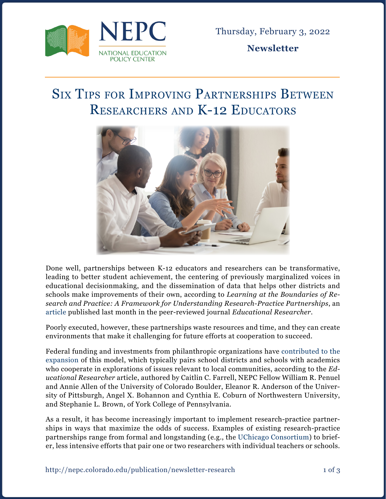

**Newsletter**

## Six Tips for Improving Partnerships Between Researchers and K-12 Educators



Done well, partnerships between K-12 educators and researchers can be transformative, leading to better student achievement, the centering of previously marginalized voices in educational decisionmaking, and the dissemination of data that helps other districts and schools make improvements of their own, according to *Learning at the Boundaries of Research and Practice: A Framework for Understanding Research-Practice Partnerships*, an [article](https://journals.sagepub.com/doi/full/10.3102/0013189X211069073) published last month in the peer-reviewed journal *Educational Researcher.*

Poorly executed, however, these partnerships waste resources and time, and they can create environments that make it challenging for future efforts at cooperation to succeed.

Federal funding and investments from philanthropic organizations have [contributed to the](https://journals.sagepub.com/doi/full/10.3102/0013189X211069073) [expansion](https://journals.sagepub.com/doi/full/10.3102/0013189X211069073) of this model, which typically pairs school districts and schools with academics who cooperate in explorations of issues relevant to local communities, according to the *Educational Researcher* article, authored by Caitlin C. Farrell, NEPC Fellow William R. Penuel and Annie Allen of the University of Colorado Boulder, Eleanor R. Anderson of the University of Pittsburgh, Angel X. Bohannon and Cynthia E. Coburn of Northwestern University, and Stephanie L. Brown, of York College of Pennsylvania.

As a result, it has become increasingly important to implement research-practice partnerships in ways that maximize the odds of success. Examples of existing research-practice partnerships range from formal and longstanding (e.g., the [UChicago Consortium\)](https://consortium.uchicago.edu/about) to briefer, less intensive efforts that pair one or two researchers with individual teachers or schools.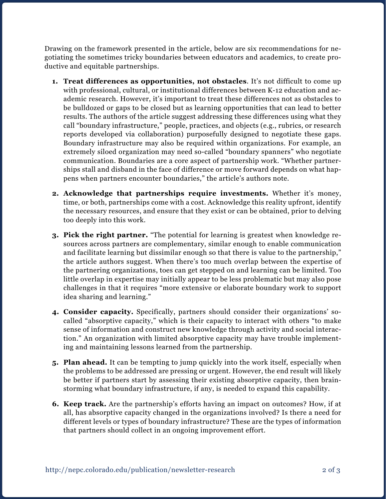Drawing on the framework presented in the article, below are six recommendations for negotiating the sometimes tricky boundaries between educators and academics, to create productive and equitable partnerships.

- **1. Treat differences as opportunities, not obstacles**. It's not difficult to come up with professional, cultural, or institutional differences between K-12 education and academic research. However, it's important to treat these differences not as obstacles to be bulldozed or gaps to be closed but as learning opportunities that can lead to better results. The authors of the article suggest addressing these differences using what they call "boundary infrastructure," people, practices, and objects (e.g., rubrics, or research reports developed via collaboration) purposefully designed to negotiate these gaps. Boundary infrastructure may also be required within organizations. For example, an extremely siloed organization may need so-called "boundary spanners" who negotiate communication. Boundaries are a core aspect of partnership work. "Whether partnerships stall and disband in the face of difference or move forward depends on what happens when partners encounter boundaries," the article's authors note.
- **2. Acknowledge that partnerships require investments.** Whether it's money, time, or both, partnerships come with a cost. Acknowledge this reality upfront, identify the necessary resources, and ensure that they exist or can be obtained, prior to delving too deeply into this work.
- **3. Pick the right partner.** "The potential for learning is greatest when knowledge resources across partners are complementary, similar enough to enable communication and facilitate learning but dissimilar enough so that there is value to the partnership," the article authors suggest. When there's too much overlap between the expertise of the partnering organizations, toes can get stepped on and learning can be limited. Too little overlap in expertise may initially appear to be less problematic but may also pose challenges in that it requires "more extensive or elaborate boundary work to support idea sharing and learning."
- **4. Consider capacity.** Specifically, partners should consider their organizations' socalled "absorptive capacity," which is their capacity to interact with others "to make sense of information and construct new knowledge through activity and social interaction." An organization with limited absorptive capacity may have trouble implementing and maintaining lessons learned from the partnership.
- **5. Plan ahead.** It can be tempting to jump quickly into the work itself, especially when the problems to be addressed are pressing or urgent. However, the end result will likely be better if partners start by assessing their existing absorptive capacity, then brainstorming what boundary infrastructure, if any, is needed to expand this capability.
- **6. Keep track.** Are the partnership's efforts having an impact on outcomes? How, if at all, has absorptive capacity changed in the organizations involved? Is there a need for different levels or types of boundary infrastructure? These are the types of information that partners should collect in an ongoing improvement effort.